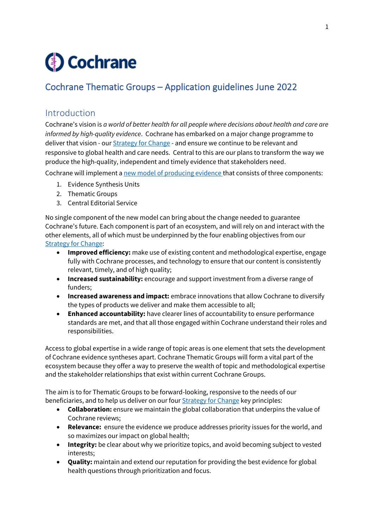# **3** Cochrane

# Cochrane Thematic Groups – Application guidelines June 2022

# Introduction

Cochrane's vision is *a world of better health for all people where decisions about health and care are informed by high-quality evidence*. Cochrane has embarked on a major change programme to deliver that vision - our **[Strategy for Change](https://www.cochrane.org/about-us/strategy-for-change)** - and ensure we continue to be relevant and responsive to global health and care needs. Central to this are our plans to transform the way we produce the high-quality, independent and timely evidence that stakeholders need.

Cochrane will implement a [new model of producing evidence](https://community.cochrane.org/organizational-info/plans/future-evidence-synthesis-cochrane) that consists of three components:

- 1. Evidence Synthesis Units
- 2. Thematic Groups
- 3. Central Editorial Service

No single component of the new model can bring about the change needed to guarantee Cochrane's future. Each component is part of an ecosystem, and will rely on and interact with the other elements, all of which must be underpinned by the four enabling objectives from our [Strategy for Change:](https://www.cochrane.org/about-us/strategy-for-change)

- **Improved efficiency:** make use of existing content and methodological expertise, engage fully with Cochrane processes, and technology to ensure that our content is consistently relevant, timely, and of high quality;
- **Increased sustainability:** encourage and support investment from a diverse range of funders;
- **Increased awareness and impact:** embrace innovations that allow Cochrane to diversify the types of products we deliver and make them accessible to all;
- **Enhanced accountability:** have clearer lines of accountability to ensure performance standards are met, and that all those engaged within Cochrane understand their roles and responsibilities.

Access to global expertise in a wide range of topic areas is one element that sets the development of Cochrane evidence syntheses apart. Cochrane Thematic Groups will form a vital part of the ecosystem because they offer a way to preserve the wealth of topic and methodological expertise and the stakeholder relationships that exist within current Cochrane Groups.

The aim is to for Thematic Groups to be forward-looking, responsive to the needs of our beneficiaries, and to help us deliver on our four [Strategy for Change](https://www.cochrane.org/about-us/strategy-for-change) key principles:

- **Collaboration:** ensure we maintain the global collaboration that underpins the value of Cochrane reviews;
- **Relevance:** ensure the evidence we produce addresses priority issues for the world, and so maximizes our impact on global health;
- **Integrity:** be clear about why we prioritize topics, and avoid becoming subject to vested interests;
- **Quality:** maintain and extend our reputation for providing the best evidence for global health questions through prioritization and focus.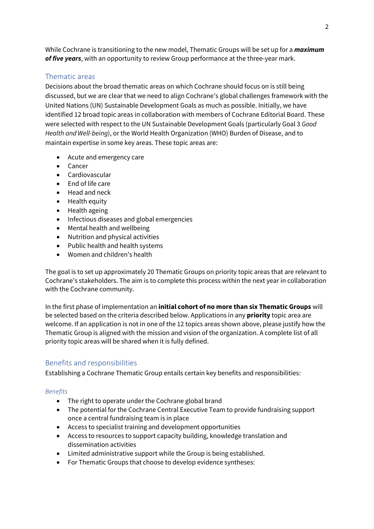While Cochrane is transitioning to the new model, Thematic Groups will be set up for a *maximum of five years*, with an opportunity to review Group performance at the three-year mark.

# Thematic areas

Decisions about the broad thematic areas on which Cochrane should focus on is still being discussed, but we are clear that we need to align Cochrane's global challenges framework with the United Nations (UN) Sustainable Development Goals as much as possible. Initially, we have identified 12 broad topic areas in collaboration with members of Cochrane Editorial Board. These were selected with respect to the UN Sustainable Development Goals (particularly Goal 3 *Good Health and Well-being*), or the World Health Organization (WHO) Burden of Disease, and to maintain expertise in some key areas. These topic areas are:

- Acute and emergency care
- Cancer
- Cardiovascular
- End of life care
- Head and neck
- Health equity
- Health ageing
- Infectious diseases and global emergencies
- Mental health and wellbeing
- Nutrition and physical activities
- Public health and health systems
- Women and children's health

The goal is to set up approximately 20 Thematic Groups on priority topic areas that are relevant to Cochrane's stakeholders. The aim is to complete this process within the next year in collaboration with the Cochrane community.

In the first phase of implementation an **initial cohort of no more than six Thematic Groups** will be selected based on the criteria described below. Applications in any **priority** topic area are welcome. If an application is not in one of the 12 topics areas shown above, please justify how the Thematic Group is aligned with the mission and vision of the organization. A complete list of all priority topic areas will be shared when it is fully defined.

# Benefits and responsibilities

Establishing a Cochrane Thematic Group entails certain key benefits and responsibilities:

# *Benefits*

- The right to operate under the Cochrane global brand
- The potential for the Cochrane Central Executive Team to provide fundraising support once a central fundraising team is in place
- Access to specialist training and development opportunities
- Access to resources to support capacity building, knowledge translation and dissemination activities
- Limited administrative support while the Group is being established.
- For Thematic Groups that choose to develop evidence syntheses: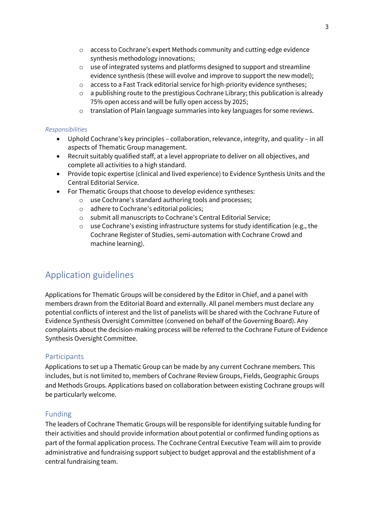- o access to Cochrane's expert Methods community and cutting-edge evidence synthesis methodology innovations;
- o use of integrated systems and platforms designed to support and streamline evidence synthesis (these will evolve and improve to support the new model);
- o access to a Fast Track editorial service for high-priority evidence syntheses;
- $\circ$  a publishing route to the prestigious Cochrane Library; this publication is already 75% open access and will be fully open access by 2025;
- o translation of Plain language summaries into key languages for some reviews.

### *Responsibilities*

- Uphold Cochrane's key principles collaboration, relevance, integrity, and quality in all aspects of Thematic Group management.
- Recruit suitably qualified staff, at a level appropriate to deliver on all objectives, and complete all activities to a high standard.
- Provide topic expertise (clinical and lived experience) to Evidence Synthesis Units and the Central Editorial Service.
- For Thematic Groups that choose to develop evidence syntheses:
	- o use Cochrane's standard authoring tools and processes;
	- o adhere to Cochrane's editorial policies;
	- o submit all manuscripts to Cochrane's Central Editorial Service;
	- $\circ$  use Cochrane's existing infrastructure systems for study identification (e.g., the Cochrane Register of Studies, semi-automation with Cochrane Crowd and machine learning).

# Application guidelines

Applications for Thematic Groups will be considered by the Editor in Chief, and a panel with members drawn from the Editorial Board and externally. All panel members must declare any potential conflicts of interest and the list of panelists will be shared with the Cochrane Future of Evidence Synthesis Oversight Committee (convened on behalf of the Governing Board). Any complaints about the decision-making process will be referred to the Cochrane Future of Evidence Synthesis Oversight Committee.

# **Participants**

Applications to set up a Thematic Group can be made by any current Cochrane members. This includes, but is not limited to, members of Cochrane Review Groups, Fields, Geographic Groups and Methods Groups. Applications based on collaboration between existing Cochrane groups will be particularly welcome.

# Funding

The leaders of Cochrane Thematic Groups will be responsible for identifying suitable funding for their activities and should provide information about potential or confirmed funding options as part of the formal application process. The Cochrane Central Executive Team will aim to provide administrative and fundraising support subject to budget approval and the establishment of a central fundraising team.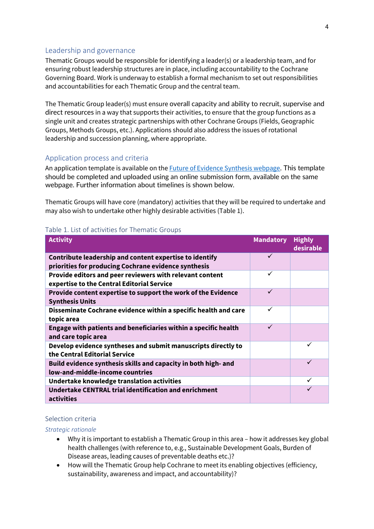### Leadership and governance

Thematic Groups would be responsible for identifying a leader(s) or a leadership team, and for ensuring robust leadership structures are in place, including accountability to the Cochrane Governing Board. Work is underway to establish a formal mechanism to set out responsibilities and accountabilities for each Thematic Group and the central team.

The Thematic Group leader(s) must ensure overall capacity and ability to recruit, supervise and direct resources in a way that supports their activities, to ensure that the group functions as a single unit and creates strategic partnerships with other Cochrane Groups (Fields, Geographic Groups, Methods Groups, etc.). Applications should also address the issues of rotational leadership and succession planning, where appropriate.

### Application process and criteria

An application template is available on the **Future of Evidence Synthesis webpage**. This template should be completed and uploaded using an online submission form, available on the same webpage. Further information about timelines is shown below.

Thematic Groups will have core (mandatory) activities that they will be required to undertake and may also wish to undertake other highly desirable activities (Table 1).

#### Table 1. List of activities for Thematic Groups

| <b>Activity</b>                                                                                                 | <b>Mandatory</b> | <b>Highly</b><br>desirable |
|-----------------------------------------------------------------------------------------------------------------|------------------|----------------------------|
| Contribute leadership and content expertise to identify<br>priorities for producing Cochrane evidence synthesis |                  |                            |
| Provide editors and peer reviewers with relevant content<br>expertise to the Central Editorial Service          | ✓                |                            |
| Provide content expertise to support the work of the Evidence<br><b>Synthesis Units</b>                         | ✓                |                            |
| Disseminate Cochrane evidence within a specific health and care<br>topic area                                   | ✓                |                            |
| Engage with patients and beneficiaries within a specific health<br>and care topic area                          | ✓                |                            |
| Develop evidence syntheses and submit manuscripts directly to<br>the Central Editorial Service                  |                  | ✓                          |
| Build evidence synthesis skills and capacity in both high- and<br>low-and-middle-income countries               |                  | $\checkmark$               |
| Undertake knowledge translation activities                                                                      |                  | ✓                          |
| Undertake CENTRAL trial identification and enrichment<br>activities                                             |                  |                            |

#### Selection criteria

#### *Strategic rationale*

- Why it is important to establish a Thematic Group in this area how it addresses key global health challenges (with reference to, e.g., Sustainable Development Goals, Burden of Disease areas, leading causes of preventable deaths etc.)?
- How will the Thematic Group help Cochrane to meet its enabling objectives (efficiency, sustainability, awareness and impact, and accountability)?